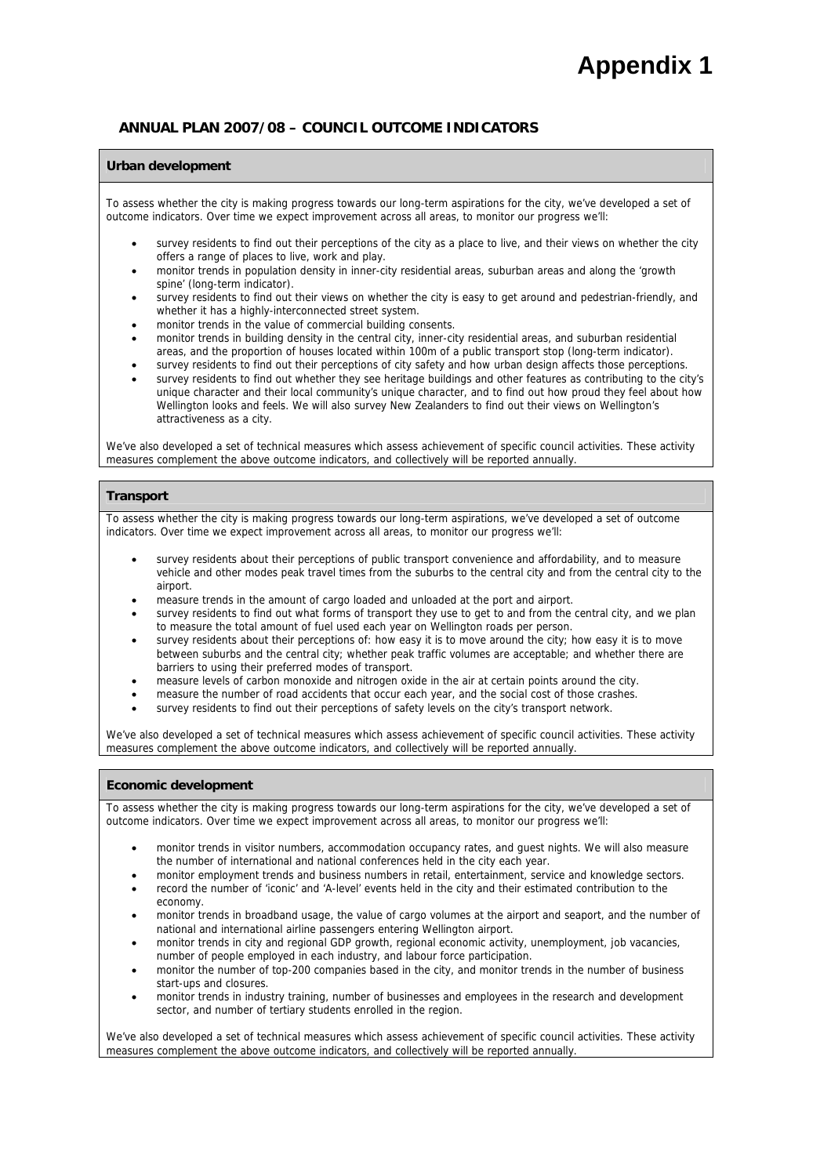# **Appendix 1**

### **ANNUAL PLAN 2007/08 – COUNCIL OUTCOME INDICATORS**

#### **Urban development**

To assess whether the city is making progress towards our long-term aspirations for the city, we've developed a set of outcome indicators. Over time we expect improvement across all areas, to monitor our progress we'll:

- survey residents to find out their perceptions of the city as a place to live, and their views on whether the city offers a range of places to live, work and play.
- monitor trends in population density in inner-city residential areas, suburban areas and along the 'growth spine' (long-term indicator).
- survey residents to find out their views on whether the city is easy to get around and pedestrian-friendly, and whether it has a highly-interconnected street system.
- monitor trends in the value of commercial building consents.
- monitor trends in building density in the central city, inner-city residential areas, and suburban residential areas, and the proportion of houses located within 100m of a public transport stop (long-term indicator).
- survey residents to find out their perceptions of city safety and how urban design affects those perceptions. survey residents to find out whether they see heritage buildings and other features as contributing to the city's unique character and their local community's unique character, and to find out how proud they feel about how Wellington looks and feels. We will also survey New Zealanders to find out their views on Wellington's

We've also developed a set of technical measures which assess achievement of specific council activities. These activity measures complement the above outcome indicators, and collectively will be reported annually.

#### **Transport**

attractiveness as a city.

To assess whether the city is making progress towards our long-term aspirations, we've developed a set of outcome indicators. Over time we expect improvement across all areas, to monitor our progress we'll:

- survey residents about their perceptions of public transport convenience and affordability, and to measure vehicle and other modes peak travel times from the suburbs to the central city and from the central city to the airport.
- measure trends in the amount of cargo loaded and unloaded at the port and airport.
- survey residents to find out what forms of transport they use to get to and from the central city, and we plan to measure the total amount of fuel used each year on Wellington roads per person.
- survey residents about their perceptions of: how easy it is to move around the city; how easy it is to move between suburbs and the central city; whether peak traffic volumes are acceptable; and whether there are barriers to using their preferred modes of transport.
- measure levels of carbon monoxide and nitrogen oxide in the air at certain points around the city.
- measure the number of road accidents that occur each year, and the social cost of those crashes.
- survey residents to find out their perceptions of safety levels on the city's transport network.

We've also developed a set of technical measures which assess achievement of specific council activities. These activity measures complement the above outcome indicators, and collectively will be reported annually.

#### **Economic development**

To assess whether the city is making progress towards our long-term aspirations for the city, we've developed a set of outcome indicators. Over time we expect improvement across all areas, to monitor our progress we'll:

- monitor trends in visitor numbers, accommodation occupancy rates, and guest nights. We will also measure the number of international and national conferences held in the city each year.
- monitor employment trends and business numbers in retail, entertainment, service and knowledge sectors.
- record the number of 'iconic' and 'A-level' events held in the city and their estimated contribution to the economy.
- monitor trends in broadband usage, the value of cargo volumes at the airport and seaport, and the number of national and international airline passengers entering Wellington airport.
- monitor trends in city and regional GDP growth, regional economic activity, unemployment, job vacancies, number of people employed in each industry, and labour force participation.
- monitor the number of top-200 companies based in the city, and monitor trends in the number of business start-ups and closures.
- monitor trends in industry training, number of businesses and employees in the research and development sector, and number of tertiary students enrolled in the region.

We've also developed a set of technical measures which assess achievement of specific council activities. These activity measures complement the above outcome indicators, and collectively will be reported annually.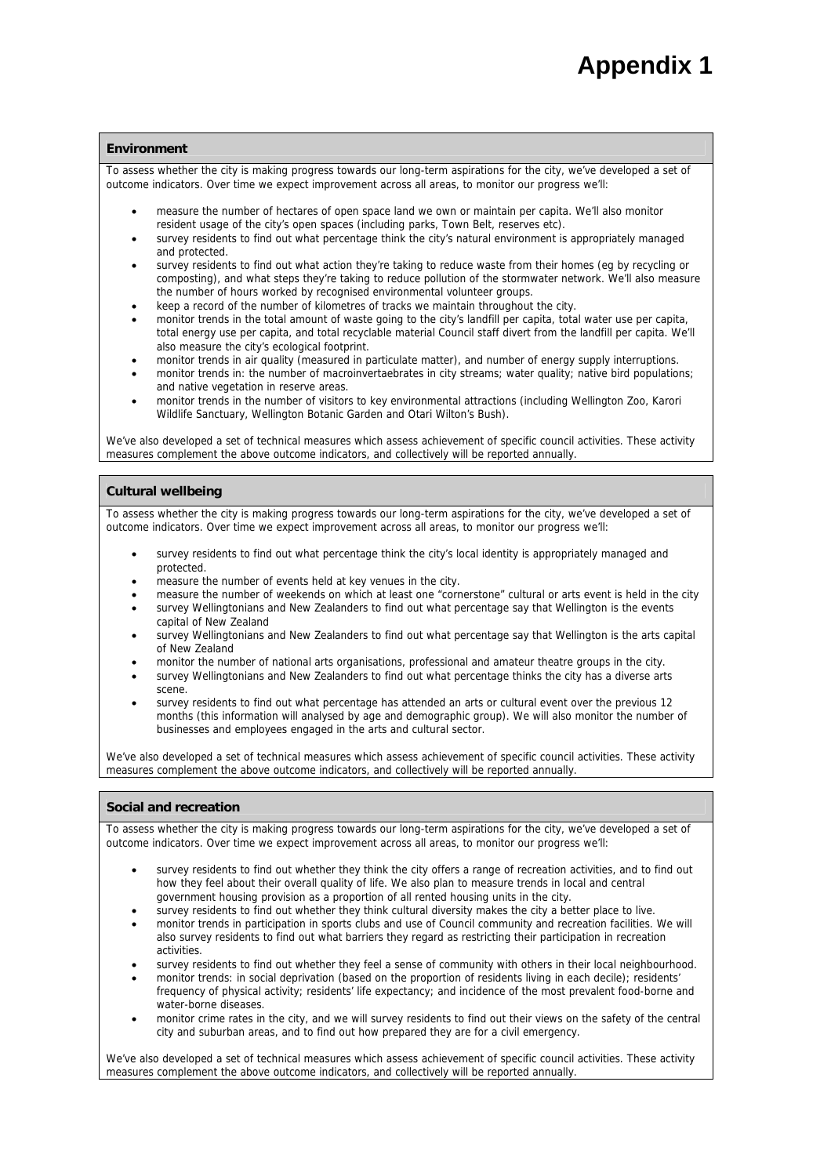#### **Environment**

To assess whether the city is making progress towards our long-term aspirations for the city, we've developed a set of outcome indicators. Over time we expect improvement across all areas, to monitor our progress we'll:

- measure the number of hectares of open space land we own or maintain per capita. We'll also monitor resident usage of the city's open spaces (including parks, Town Belt, reserves etc).
- survey residents to find out what percentage think the city's natural environment is appropriately managed and protected.
- survey residents to find out what action they're taking to reduce waste from their homes (eg by recycling or composting), and what steps they're taking to reduce pollution of the stormwater network. We'll also measure the number of hours worked by recognised environmental volunteer groups.
- keep a record of the number of kilometres of tracks we maintain throughout the city.
- monitor trends in the total amount of waste going to the city's landfill per capita, total water use per capita, total energy use per capita, and total recyclable material Council staff divert from the landfill per capita. We'll also measure the city's ecological footprint.
- monitor trends in air quality (measured in particulate matter), and number of energy supply interruptions.
- monitor trends in: the number of macroinvertaebrates in city streams; water quality; native bird populations; and native vegetation in reserve areas.
- monitor trends in the number of visitors to key environmental attractions (including Wellington Zoo, Karori Wildlife Sanctuary, Wellington Botanic Garden and Otari Wilton's Bush).

We've also developed a set of technical measures which assess achievement of specific council activities. These activity measures complement the above outcome indicators, and collectively will be reported annually.

#### **Cultural wellbeing**

To assess whether the city is making progress towards our long-term aspirations for the city, we've developed a set of outcome indicators. Over time we expect improvement across all areas, to monitor our progress we'll:

- survey residents to find out what percentage think the city's local identity is appropriately managed and protected.
- measure the number of events held at key venues in the city.
- measure the number of weekends on which at least one "cornerstone" cultural or arts event is held in the city
- survey Wellingtonians and New Zealanders to find out what percentage say that Wellington is the events capital of New Zealand
- survey Wellingtonians and New Zealanders to find out what percentage say that Wellington is the arts capital of New Zealand
- monitor the number of national arts organisations, professional and amateur theatre groups in the city.
- survey Wellingtonians and New Zealanders to find out what percentage thinks the city has a diverse arts scene.
- survey residents to find out what percentage has attended an arts or cultural event over the previous 12 months (this information will analysed by age and demographic group). We will also monitor the number of businesses and employees engaged in the arts and cultural sector.

We've also developed a set of technical measures which assess achievement of specific council activities. These activity measures complement the above outcome indicators, and collectively will be reported annually.

#### **Social and recreation**

To assess whether the city is making progress towards our long-term aspirations for the city, we've developed a set of outcome indicators. Over time we expect improvement across all areas, to monitor our progress we'll:

- survey residents to find out whether they think the city offers a range of recreation activities, and to find out how they feel about their overall quality of life. We also plan to measure trends in local and central government housing provision as a proportion of all rented housing units in the city.
- survey residents to find out whether they think cultural diversity makes the city a better place to live.
- monitor trends in participation in sports clubs and use of Council community and recreation facilities. We will also survey residents to find out what barriers they regard as restricting their participation in recreation activities.
- survey residents to find out whether they feel a sense of community with others in their local neighbourhood.
- monitor trends: in social deprivation (based on the proportion of residents living in each decile); residents' frequency of physical activity; residents' life expectancy; and incidence of the most prevalent food-borne and water-borne diseases.
- monitor crime rates in the city, and we will survey residents to find out their views on the safety of the central city and suburban areas, and to find out how prepared they are for a civil emergency.

We've also developed a set of technical measures which assess achievement of specific council activities. These activity measures complement the above outcome indicators, and collectively will be reported annually.